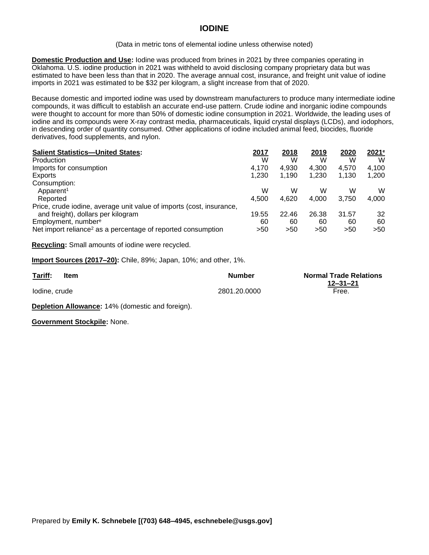## **IODINE**

## (Data in metric tons of elemental iodine unless otherwise noted)

**Domestic Production and Use:** Iodine was produced from brines in 2021 by three companies operating in Oklahoma. U.S. iodine production in 2021 was withheld to avoid disclosing company proprietary data but was estimated to have been less than that in 2020. The average annual cost, insurance, and freight unit value of iodine imports in 2021 was estimated to be \$32 per kilogram, a slight increase from that of 2020.

Because domestic and imported iodine was used by downstream manufacturers to produce many intermediate iodine compounds, it was difficult to establish an accurate end-use pattern. Crude iodine and inorganic iodine compounds were thought to account for more than 50% of domestic iodine consumption in 2021. Worldwide, the leading uses of iodine and its compounds were X-ray contrast media, pharmaceuticals, liquid crystal displays (LCDs), and iodophors, in descending order of quantity consumed. Other applications of iodine included animal feed, biocides, fluoride derivatives, food supplements, and nylon.

| <b>Salient Statistics-United States:</b>                                 | 2017  | 2018  | 2019  | 2020  | 2021 <sup>e</sup> |
|--------------------------------------------------------------------------|-------|-------|-------|-------|-------------------|
| Production                                                               | W     | W     | W     | W     | W                 |
| Imports for consumption                                                  | 4.170 | 4.930 | 4.300 | 4.570 | 4,100             |
| Exports                                                                  | 1,230 | 1,190 | 1,230 | 1.130 | 1,200             |
| Consumption:                                                             |       |       |       |       |                   |
| Apparent <sup>1</sup>                                                    | W     | w     | w     | W     | W                 |
| Reported                                                                 | 4.500 | 4.620 | 4.000 | 3.750 | 4,000             |
| Price, crude iodine, average unit value of imports (cost, insurance,     |       |       |       |       |                   |
| and freight), dollars per kilogram                                       | 19.55 | 22.46 | 26.38 | 31.57 | 32                |
| Employment, number <sup>e</sup>                                          | 60    | 60    | 60    | 60    | 60                |
| Net import reliance <sup>2</sup> as a percentage of reported consumption | >50   | >50   | >50   | >50   | >50               |

**Recycling:** Small amounts of iodine were recycled.

**Import Sources (2017–20):** Chile, 89%; Japan, 10%; and other, 1%.

| Tariff:<br>____ | Item | <b>Number</b> | <b>Normal Trade Relations</b> |
|-----------------|------|---------------|-------------------------------|
|                 |      |               | 12–31–21                      |
| lodine, crude   |      | 2801.20.0000  | Free.                         |

**Depletion Allowance:** 14% (domestic and foreign).

**Government Stockpile:** None.